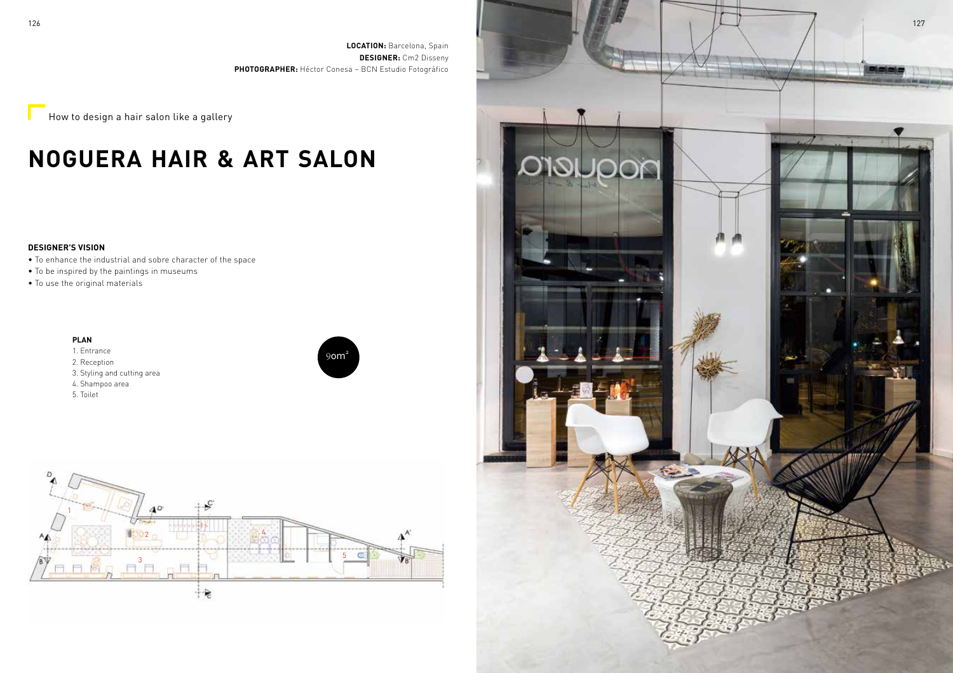**LOCATION:** Barcelona, Spain **DESIGNER:** Cm2 Disseny **PHOTOGRAPHER:** Héctor Conesa – BCN Estudio Fotográfico

 $\overline{\phantom{a}}$  How to design a hair salon like a gallery

# **NOGUERA HAIR & ART SALON**

## **DESIGNER'S VISION**

- To enhance the industrial and sobre character of the space
- To be inspired by the paintings in museums
- To use the original materials

### **PLAN**

- 1. Entrance 2. Reception 3. Styling and cutting area 4. Shampoo area
- 5. Toilet





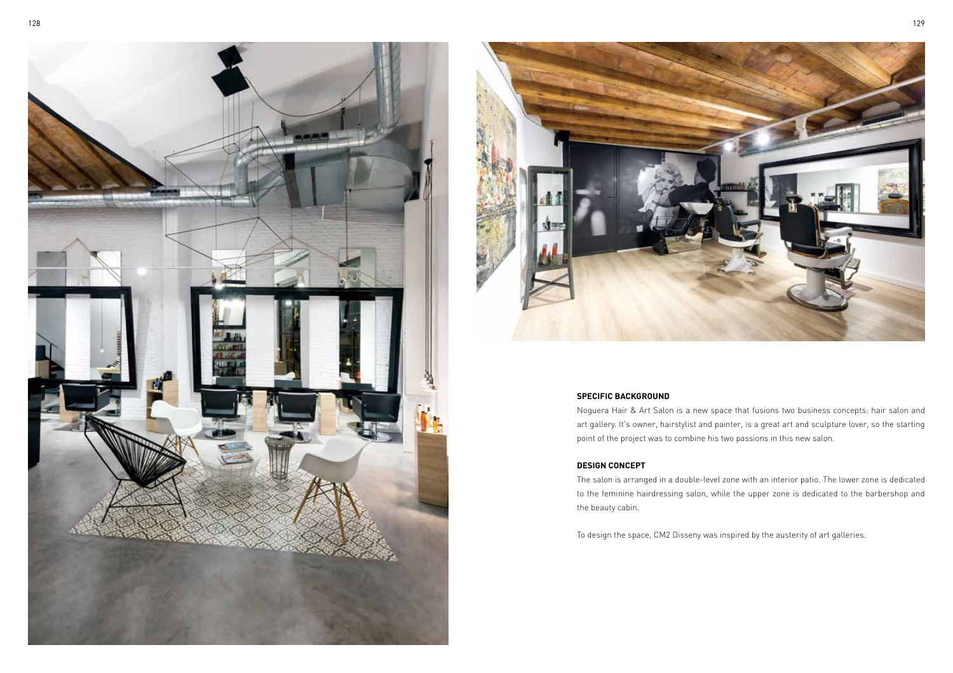



#### **SPECIFIC BACKGROUND**

Noguera Hair & Art Salon is a new space that fusions two business concepts: hair salon and art gallery. It's owner, hairstylist and painter, is a great art and sculpture lover, so the starting point of the project was to combine his two passions in this new salon.

## **DESIGN CONCEPT**

The salon is arranged in a double-level zone with an interior patio. The lower zone is dedicated to the feminine hairdressing salon, while the upper zone is dedicated to the barbershop and the beauty cabin.

To design the space, CM2 Disseny was inspired by the austerity of art galleries.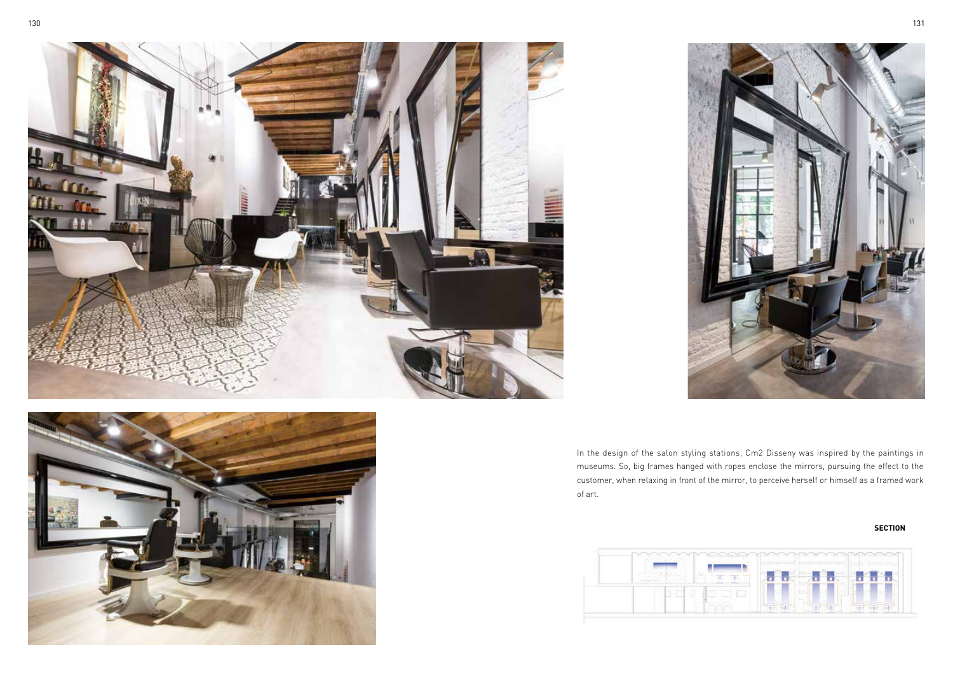





In the design of the salon styling stations, Cm2 Disseny was inspired by the paintings in museums. So, big frames hanged with ropes enclose the mirrors, pursuing the effect to the customer, when relaxing in front of the mirror, to perceive herself or himself as a framed work of art.

#### **SECTION**